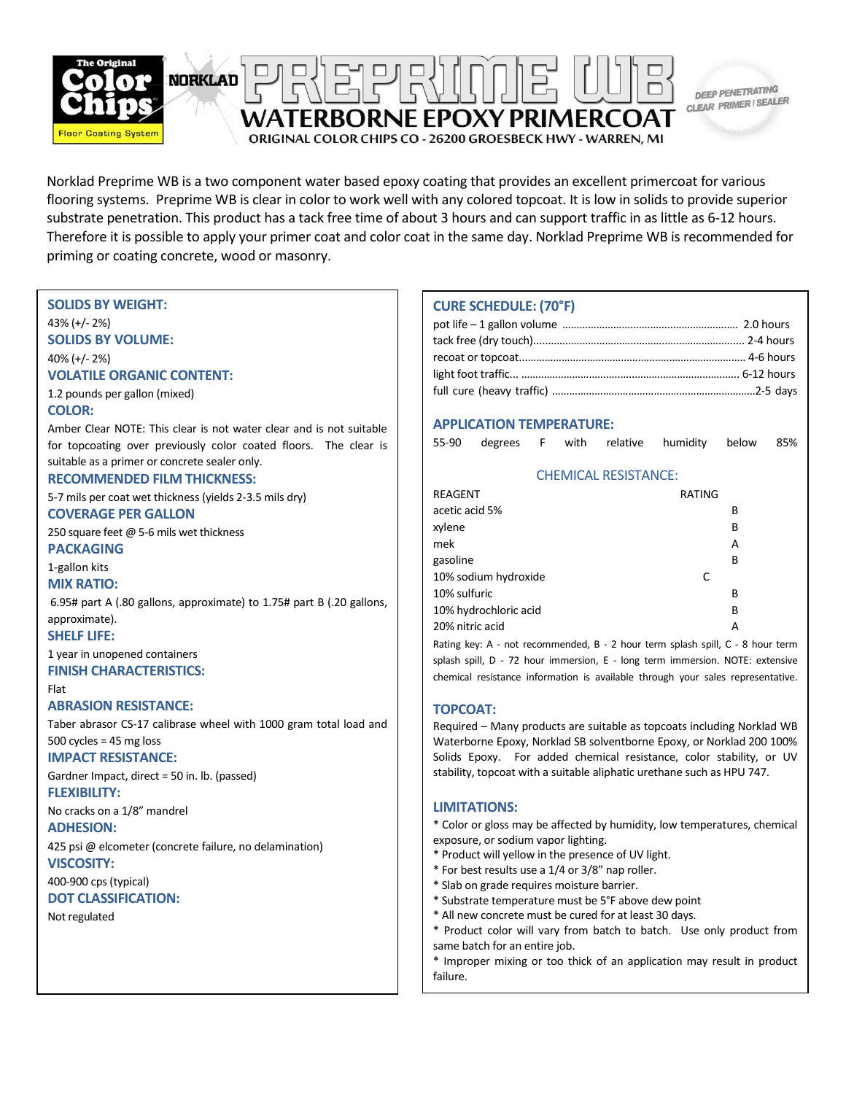

Norklad Preprime WB is a two component water based epoxy coating that provides an excellent primercoat for various flooring systems. Preprime WB is clear in color to work well with any colored topcoat. It is low in solids to provide superior substrate penetration. This product has a tack free time of about 3 hours and can support traffic in as little as 6-12 hours. Therefore it is possible to apply your primer coat and color coat in the same day. Norklad Preprime WB is recommended for priming or coating concrete, wood or masonry.

### **SOLIDS BY WEIGHT:**

43% (+/- 2%) **SOLIDS BY VOLUME:**

40% (+/- 2%)

#### **VOLATILE ORGANIC CONTENT:**

1.2 pounds per gallon (mixed) **COLOR:**

Amber Clear NOTE: This clear is not water clear and is not suitable for topcoating over previously color coated floors. The clear is suitable as a primer or concrete sealer only.

### **RECOMMENDED FILM THICKNESS:**

5-7 mils per coat wet thickness (yields 2-3.5 mils dry) **COVERAGE PER GALLON**

250 square feet @ 5-6 mils wet thickness **PACKAGING** 

1-gallon kits

**MIX RATIO:**

6.95# part A (.80 gallons, approximate) to 1.75# part B (.20 gallons, approximate).

**SHELF LIFE:**

1 year in unopened containers

#### **FINISH CHARACTERISTICS:** Flat

### **ABRASION RESISTANCE:**

Taber abrasor CS-17 calibrase wheel with 1000 gram total load and 500 cycles = 45 mg loss

# **IMPACT RESISTANCE:**

Gardner Impact, direct = 50 in. lb. (passed)

### **FLEXIBILITY:**

No cracks on a 1/8" mandrel

### **ADHESION:**

425 psi @ elcometer (concrete failure, no delamination) **VISCOSITY:**

400-900 cps (typical)

# **DOT CLASSIFICATION:**

Not regulated

# **CURE SCHEDULE: (70°F)**

### **APPLICATION TEMPERATURE:**

55-90 degrees F with relative humidity below 85%

### CHEMICAL RESISTANCE:

| REAGENT               | RATING |   |
|-----------------------|--------|---|
| acetic acid 5%        |        | В |
| xylene                |        | В |
| mek                   |        | А |
| gasoline              |        | В |
| 10% sodium hydroxide  | C      |   |
| 10% sulfuric          |        | В |
| 10% hydrochloric acid |        | В |
| 20% nitric acid       |        | А |
|                       |        |   |

Rating key: A - not recommended, B - 2 hour term splash spill, C - 8 hour term splash spill, D - 72 hour immersion, E - long term immersion. NOTE: extensive chemical resistance information is available through your sales representative.

### **TOPCOAT:**

Required – Many products are suitable as topcoats including Norklad WB Waterborne Epoxy, Norklad SB solventborne Epoxy, or Norklad 200 100% Solids Epoxy. For added chemical resistance, color stability, or UV stability, topcoat with a suitable aliphatic urethane such as HPU 747.

### **LIMITATIONS:**

\* Color or gloss may be affected by humidity, low temperatures, chemical exposure, or sodium vapor lighting.

- \* Product will yellow in the presence of UV light.
- \* For best results use a 1/4 or 3/8" nap roller.
- \* Slab on grade requires moisture barrier.
- \* Substrate temperature must be 5°F above dew point
- \* All new concrete must be cured for at least 30 days.
- \* All new concrete must be cured for at least 30 days.<br>\* Product color will vary from batch to batch. Use only product from same batch for an entire job.

\* Improper mixing or too thick of an application may result in product<br>failure. failure.